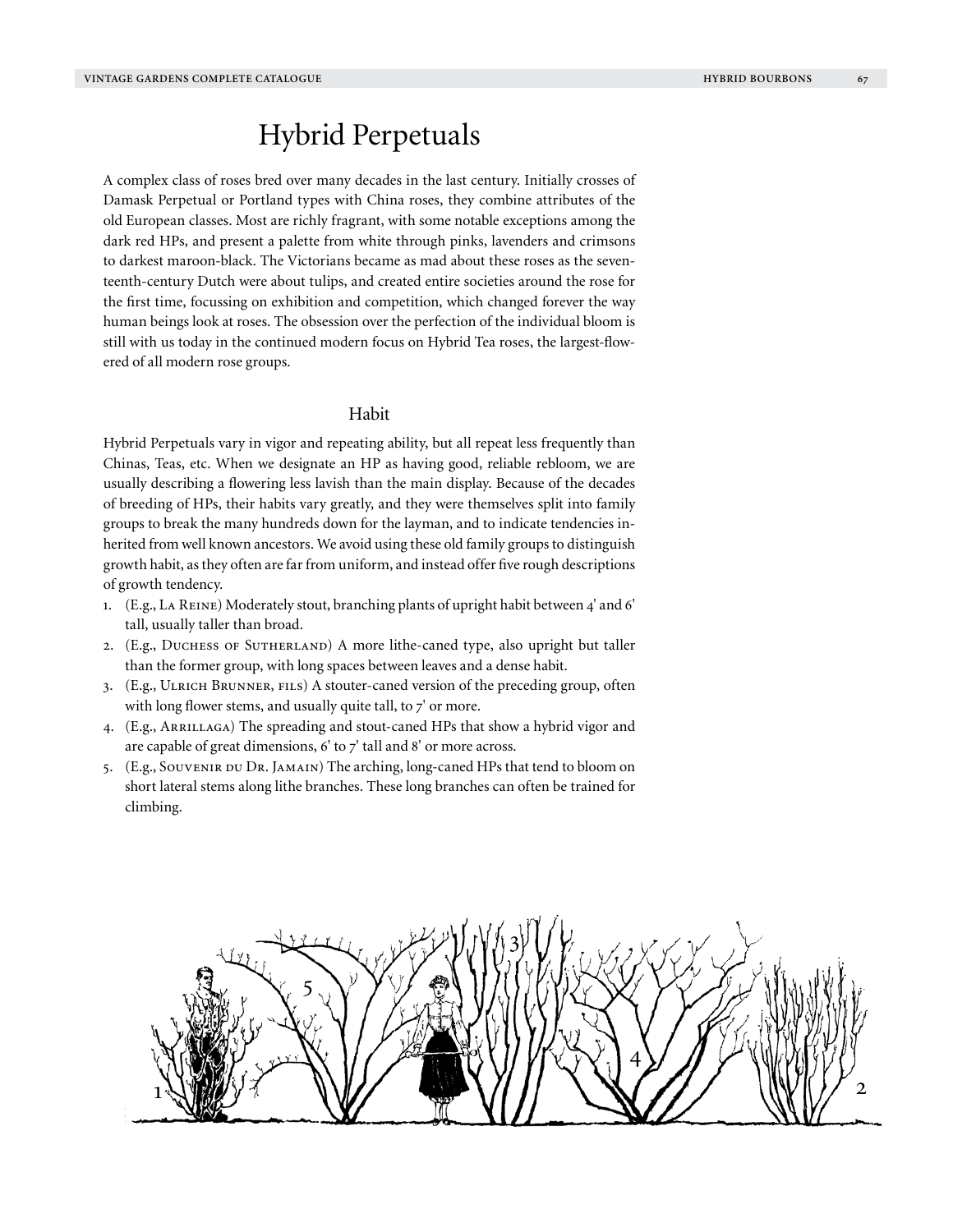# Hybrid Perpetuals

A complex class of roses bred over many decades in the last century. Initially crosses of Damask Perpetual or Portland types with China roses, they combine attributes of the old European classes. Most are richly fragrant, with some notable exceptions among the dark red HPs, and present a palette from white through pinks, lavenders and crimsons to darkest maroon-black. The Victorians became as mad about these roses as the seventeenth-century Dutch were about tulips, and created entire societies around the rose for the first time, focussing on exhibition and competition, which changed forever the way human beings look at roses. The obsession over the perfection of the individual bloom is still with us today in the continued modern focus on Hybrid Tea roses, the largest-flowered of all modern rose groups.

# Habit

Hybrid Perpetuals vary in vigor and repeating ability, but all repeat less frequently than Chinas, Teas, etc. When we designate an HP as having good, reliable rebloom, we are usually describing a flowering less lavish than the main display. Because of the decades of breeding of HPs, their habits vary greatly, and they were themselves split into family groups to break the many hundreds down for the layman, and to indicate tendencies inherited from well known ancestors. We avoid using these old family groups to distinguish growth habit, as they often are far from uniform, and instead offer five rough descriptions of growth tendency.

- 1. (E.g., La Reine) Moderately stout, branching plants of upright habit between 4' and 6' tall, usually taller than broad.
- 2. (E.g., DUCHESS OF SUTHERLAND) A more lithe-caned type, also upright but taller than the former group, with long spaces between leaves and a dense habit.
- 3. (E.g., Ulrich Brunner, fils) A stouter-caned version of the preceding group, often with long flower stems, and usually quite tall, to  $7'$  or more.
- 4. (E.g., ARRILLAGA) The spreading and stout-caned HPs that show a hybrid vigor and are capable of great dimensions, 6' to 7' tall and 8' or more across.
- 5. (E.g., Souvenir du Dr. Jamain) The arching, long-caned HPs that tend to bloom on short lateral stems along lithe branches. These long branches can often be trained for climbing.

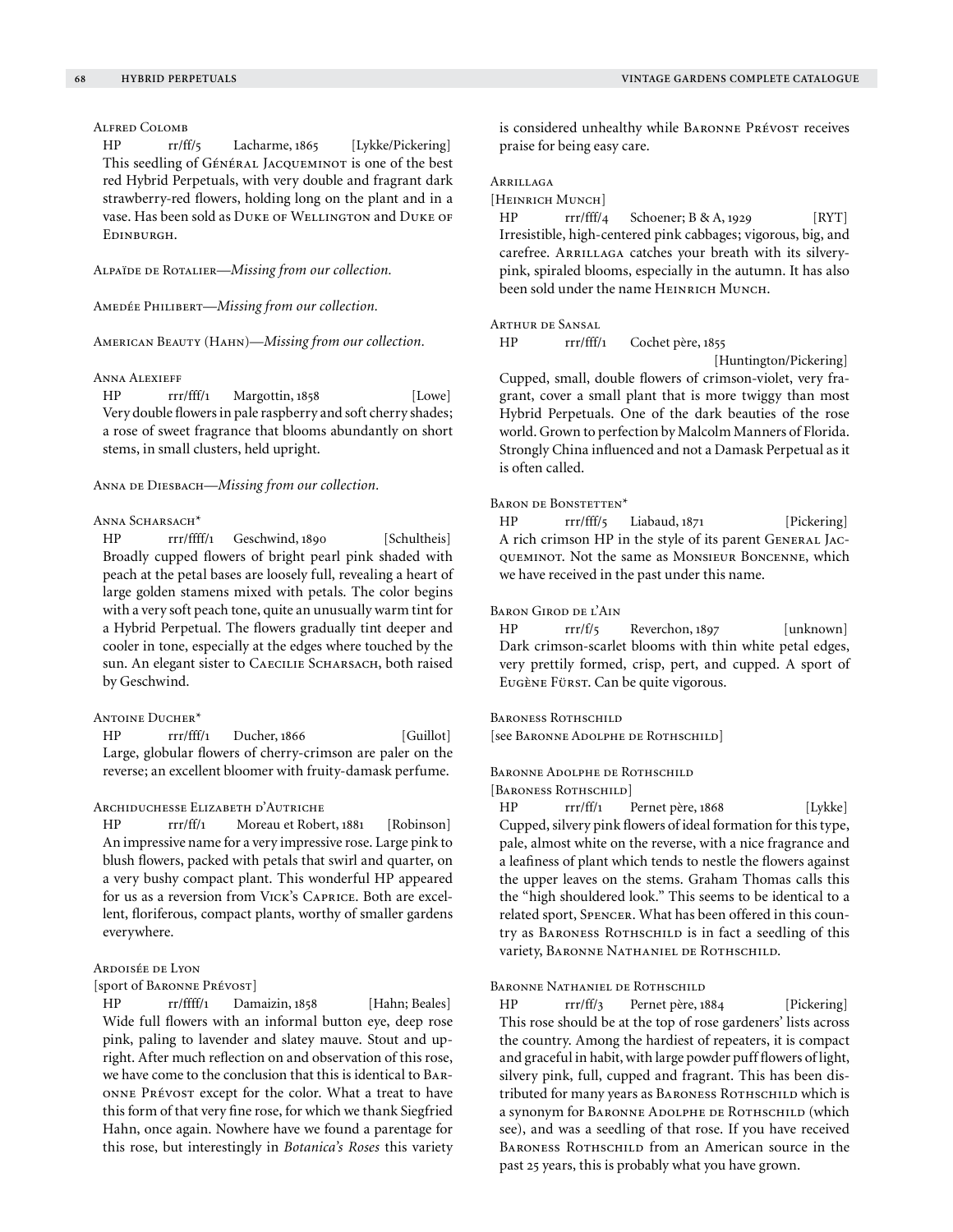# Alfred Colomb

HP rr/ff/5 Lacharme, 1865 [Lykke/Pickering] This seedling of GÉNÉRAL JACQUEMINOT is one of the best red Hybrid Perpetuals, with very double and fragrant dark strawberry-red flowers, holding long on the plant and in a vase. Has been sold as Duke of Wellington and Duke of Edinburgh.

Alpaïde de Rotalier—*Missing from our collection.*

Amedée Philibert—*Missing from our collection.*

American Beauty (Hahn)—*Missing from our collection.*

#### Anna Alexieff

HP rrr/fff/1 Margottin, 1858 [Lowe] Very double flowers in pale raspberry and soft cherry shades; a rose of sweet fragrance that blooms abundantly on short stems, in small clusters, held upright.

Anna de Diesbach—*Missing from our collection.*

## ANNA SCHARSACH<sup>\*</sup>

HP rrr/ffff/1 Geschwind, 1890 [Schultheis] Broadly cupped flowers of bright pearl pink shaded with peach at the petal bases are loosely full, revealing a heart of large golden stamens mixed with petals. The color begins with a very soft peach tone, quite an unusually warm tint for a Hybrid Perpetual. The flowers gradually tint deeper and cooler in tone, especially at the edges where touched by the sun. An elegant sister to CAECILIE SCHARSACH, both raised by Geschwind.

## ANTOINE DUCHER\*

HP rrr/fff/1 Ducher, 1866 [Guillot] Large, globular flowers of cherry-crimson are paler on the reverse; an excellent bloomer with fruity-damask perfume.

### Archiduchesse Elizabeth d'Autriche

HP rrr/ff/1 Moreau et Robert, 1881 [Robinson] An impressive name for a very impressive rose. Large pink to blush flowers, packed with petals that swirl and quarter, on a very bushy compact plant. This wonderful HP appeared for us as a reversion from Vick's Caprice. Both are excellent, floriferous, compact plants, worthy of smaller gardens everywhere.

## Ardoisée de Lyon

[sport of Baronne Prévost]

HP rr/ffff/1 Damaizin, 1858 [Hahn; Beales] Wide full flowers with an informal button eye, deep rose pink, paling to lavender and slatey mauve. Stout and upright. After much reflection on and observation of this rose, we have come to the conclusion that this is identical to Baronne Prévost except for the color. What a treat to have this form of that very fine rose, for which we thank Siegfried Hahn, once again. Nowhere have we found a parentage for this rose, but interestingly in *Botanica's Roses* this variety

is considered unhealthy while BARONNE PRÉVOST receives praise for being easy care.

# Arrillaga

[HEINRICH MUNCH]

 $HP$  rrr/fff/4 Schoener; B & A, 1929 [RYT] Irresistible, high-centered pink cabbages; vigorous, big, and carefree. ARRILLAGA catches your breath with its silverypink, spiraled blooms, especially in the autumn. It has also been sold under the name HEINRICH MUNCH.

## Arthur de Sansal

HP rrr/fff/1 Cochet père, 1855

[Huntington/Pickering]

Cupped, small, double flowers of crimson-violet, very fragrant, cover a small plant that is more twiggy than most Hybrid Perpetuals. One of the dark beauties of the rose world. Grown to perfection by Malcolm Manners of Florida. Strongly China influenced and not a Damask Perpetual as it is often called.

#### BARON DE BONSTETTEN<sup>\*</sup>

HP rrr/fff/5 Liabaud, 1871 [Pickering] A rich crimson HP in the style of its parent General Jacqueminot. Not the same as Monsieur Boncenne, which we have received in the past under this name.

#### Baron Girod de l'Ain

HP rrr/f/5 Reverchon, 1897 [unknown] Dark crimson-scarlet blooms with thin white petal edges, very prettily formed, crisp, pert, and cupped. A sport of Eugène Fürst. Can be quite vigorous.

# BARONESS ROTHSCHILD

[see Baronne Adolphe de Rothschild]

# Baronne Adolphe de Rothschild

[BARONESS ROTHSCHILD]

HP rrr/ff/1 Pernet père, 1868 [Lykke] Cupped, silvery pink flowers of ideal formation for this type, pale, almost white on the reverse, with a nice fragrance and a leafiness of plant which tends to nestle the flowers against the upper leaves on the stems. Graham Thomas calls this the "high shouldered look." This seems to be identical to a related sport, Spencer. What has been offered in this country as BARONESS ROTHSCHILD is in fact a seedling of this variety, Baronne Nathaniel de Rothschild.

Baronne Nathaniel de Rothschild

HP rrr/ff/3 Pernet père, 1884 [Pickering] This rose should be at the top of rose gardeners' lists across the country. Among the hardiest of repeaters, it is compact and graceful in habit, with large powder puff flowers of light, silvery pink, full, cupped and fragrant. This has been distributed for many years as BARONESS ROTHSCHILD which is a synonym for BARONNE ADOLPHE DE ROTHSCHILD (which see), and was a seedling of that rose. If you have received BARONESS ROTHSCHILD from an American source in the past 25 years, this is probably what you have grown.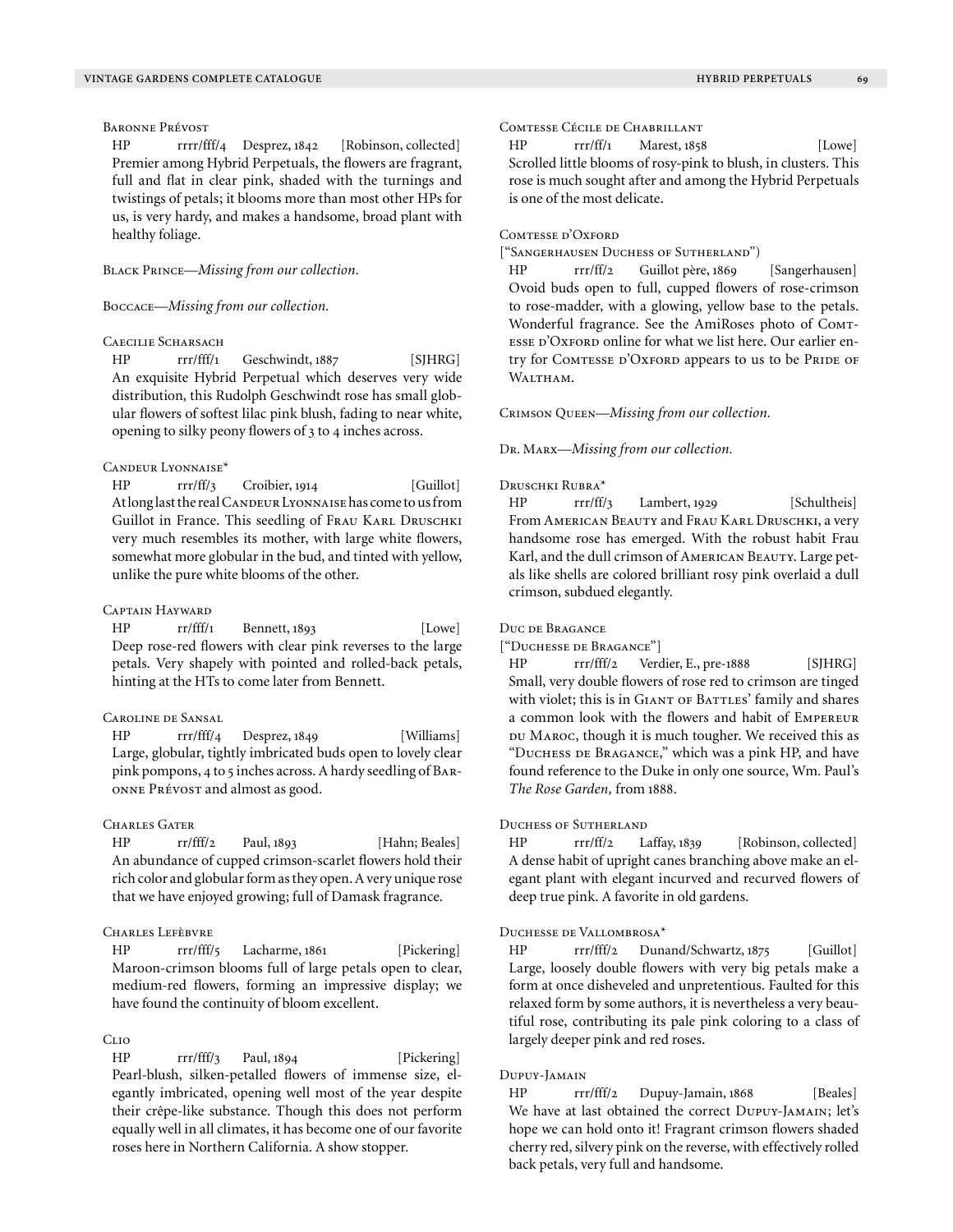## Baronne Prévost

HP rrrr/fff/4 Desprez, 1842 [Robinson, collected] Premier among Hybrid Perpetuals, the flowers are fragrant, full and flat in clear pink, shaded with the turnings and twistings of petals; it blooms more than most other HPs for us, is very hardy, and makes a handsome, broad plant with healthy foliage.

Black Prince—*Missing from our collection.*

Boccace—*Missing from our collection.*

# CAECILIE SCHARSACH

HP rrr/fff/1 Geschwindt, 1887 [SJHRG] An exquisite Hybrid Perpetual which deserves very wide distribution, this Rudolph Geschwindt rose has small globular flowers of softest lilac pink blush, fading to near white, opening to silky peony flowers of 3 to 4 inches across.

#### Candeur Lyonnaise\*

HP rrr/ff/3 Croibier, 1914 [Guillot] At long last the real CANDEUR LYONNAISE has come to us from Guillot in France. This seedling of FRAU KARL DRUSCHKI very much resembles its mother, with large white flowers, somewhat more globular in the bud, and tinted with yellow, unlike the pure white blooms of the other.

# Captain Hayward

HP rr/fff/1 Bennett, 1893 [Lowe] Deep rose-red flowers with clear pink reverses to the large petals. Very shapely with pointed and rolled-back petals, hinting at the HTs to come later from Bennett.

## Caroline de Sansal

HP rrr/fff/4 Desprez, 1849 [Williams] Large, globular, tightly imbricated buds open to lovely clear pink pompons, 4 to 5 inches across. A hardy seedling of Baronne Prévost and almost as good.

#### CHARLES GATER

HP rr/fff/2 Paul, 1893 [Hahn; Beales] An abundance of cupped crimson-scarlet flowers hold their rich color and globular form as they open. A very unique rose that we have enjoyed growing; full of Damask fragrance.

# CHARLES LEFÈBVRE

HP rrr/fff/5 Lacharme, 1861 [Pickering] Maroon-crimson blooms full of large petals open to clear, medium-red flowers, forming an impressive display; we have found the continuity of bloom excellent.

## Clio

HP rrr/fff/3 Paul, 1894 [Pickering] Pearl-blush, silken-petalled flowers of immense size, elegantly imbricated, opening well most of the year despite their crêpe-like substance. Though this does not perform equally well in all climates, it has become one of our favorite roses here in Northern California. A show stopper.

# Comtesse Cécile de Chabrillant

 $HP$  rrr/ff/1 Marest, 1858 [Lowe] Scrolled little blooms of rosy-pink to blush, in clusters. This rose is much sought after and among the Hybrid Perpetuals is one of the most delicate.

# COMTESSE D'OXFORD

["Sangerhausen Duchess of Sutherland")

HP rrr/ff/2 Guillot père, 1869 [Sangerhausen] Ovoid buds open to full, cupped flowers of rose-crimson to rose-madder, with a glowing, yellow base to the petals. Wonderful fragrance. See the AmiRoses photo of Comtesse d'Oxford online for what we list here. Our earlier entry for COMTESSE D'OXFORD appears to us to be PRIDE OF WALTHAM.

Crimson Queen—*Missing from our collection.*

Dr. Marx—*Missing from our collection.*

## Druschki Rubra\*

HP rrr/ff/3 Lambert, 1929 [Schultheis] From American Beauty and Frau Karl Druschki, a very handsome rose has emerged. With the robust habit Frau Karl, and the dull crimson of American Beauty. Large petals like shells are colored brilliant rosy pink overlaid a dull crimson, subdued elegantly.

Duc de Bragance

["Duchesse de Bragance"]

HP rrr/fff/2 Verdier, E., pre-1888 [SJHRG] Small, very double flowers of rose red to crimson are tinged with violet; this is in GIANT OF BATTLES' family and shares a common look with the flowers and habit of Empereur DU MAROC, though it is much tougher. We received this as "Duchess de Bragance," which was a pink HP, and have found reference to the Duke in only one source, Wm. Paul's *The Rose Garden,* from 1888.

#### Duchess of Sutherland

HP rrr/ff/2 Laffay, 1839 [Robinson, collected] A dense habit of upright canes branching above make an elegant plant with elegant incurved and recurved flowers of deep true pink. A favorite in old gardens.

#### Duchesse de Vallombrosa\*

HP rrr/fff/2 Dunand/Schwartz, 1875 [Guillot] Large, loosely double flowers with very big petals make a form at once disheveled and unpretentious. Faulted for this relaxed form by some authors, it is nevertheless a very beautiful rose, contributing its pale pink coloring to a class of largely deeper pink and red roses.

# Dupuy-Jamain

HP rrr/fff/2 Dupuy-Jamain, 1868 [Beales] We have at last obtained the correct DUPUY-JAMAIN; let's hope we can hold onto it! Fragrant crimson flowers shaded cherry red, silvery pink on the reverse, with effectively rolled back petals, very full and handsome.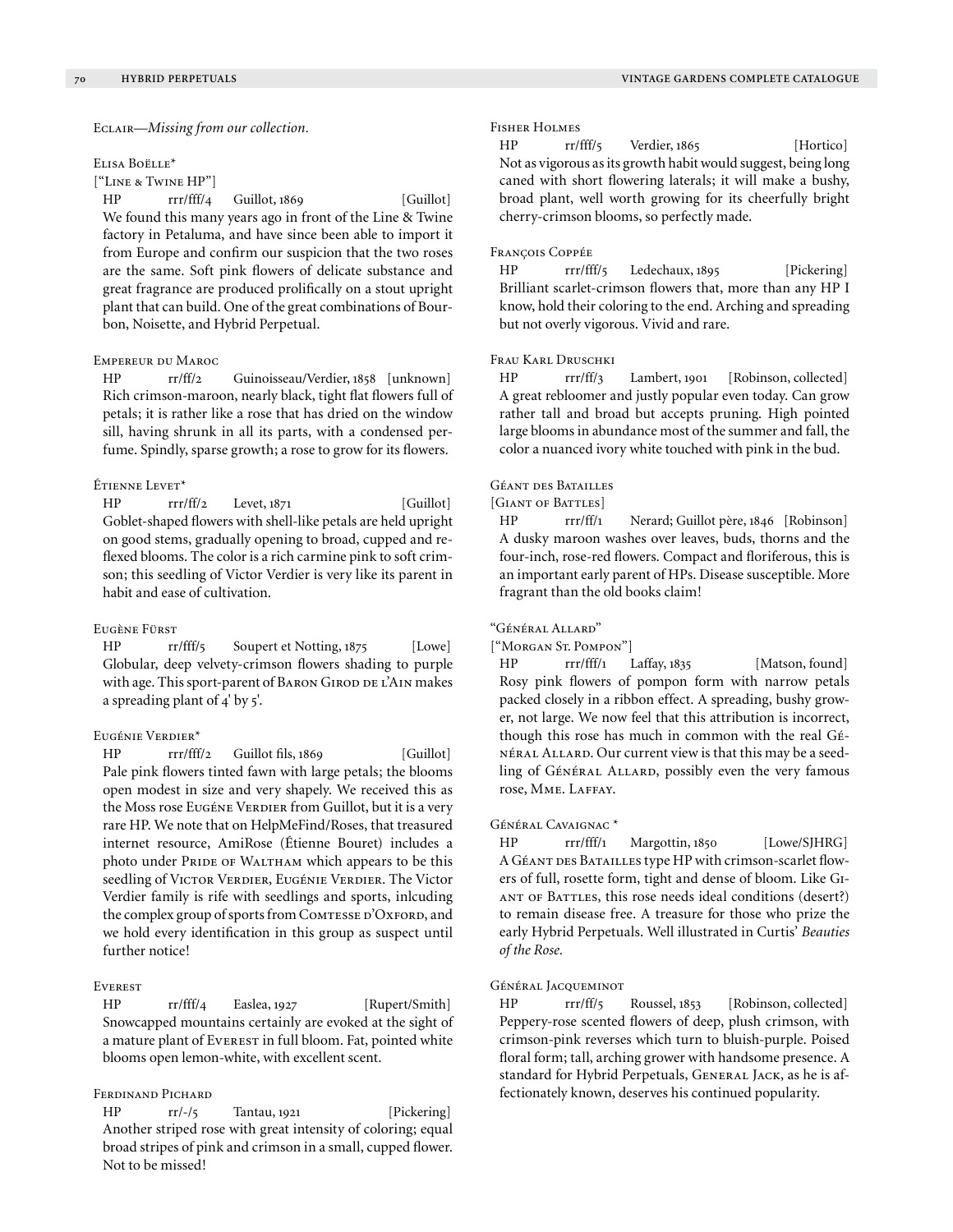Eclair—*Missing from our collection.*

#### Elisa Boëlle\*

["Line & Twine HP"]

HP rrr/fff/4 Guillot, 1869 [Guillot] We found this many years ago in front of the Line & Twine factory in Petaluma, and have since been able to import it from Europe and confirm our suspicion that the two roses are the same. Soft pink flowers of delicate substance and great fragrance are produced prolifically on a stout upright plant that can build. One of the great combinations of Bourbon, Noisette, and Hybrid Perpetual.

## Empereur du Maroc

HP rr/ff/2 Guinoisseau/Verdier, 1858 [unknown] Rich crimson-maroon, nearly black, tight flat flowers full of petals; it is rather like a rose that has dried on the window sill, having shrunk in all its parts, with a condensed perfume. Spindly, sparse growth; a rose to grow for its flowers.

## Étienne Levet\*

 $HP$  rrr/ff/2 Levet, 1871 [Guillot] Goblet-shaped flowers with shell-like petals are held upright on good stems, gradually opening to broad, cupped and reflexed blooms. The color is a rich carmine pink to soft crimson; this seedling of Victor Verdier is very like its parent in habit and ease of cultivation.

#### Eugène Fürst

HP rr/fff/5 Soupert et Notting, 1875 [Lowe] Globular, deep velvety-crimson flowers shading to purple with age. This sport-parent of BARON GIROD DE L'AIN makes a spreading plant of 4' by 5'.

## Eugénie Verdier\*

HP rrr/fff/2 Guillot fils, 1869 [Guillot] Pale pink flowers tinted fawn with large petals; the blooms open modest in size and very shapely. We received this as the Moss rose Eugéne Verdier from Guillot, but it is a very rare HP. We note that on HelpMeFind/Roses, that treasured internet resource, AmiRose (Étienne Bouret) includes a photo under PRIDE OF WALTHAM which appears to be this seedling of VICTOR VERDIER, EUGÉNIE VERDIER. The Victor Verdier family is rife with seedlings and sports, inlcuding the complex group of sports from COMTESSE D'OXFORD, and we hold every identification in this group as suspect until further notice!

## **EVEREST**

HP rr/fff/4 Easlea, 1927 [Rupert/Smith] Snowcapped mountains certainly are evoked at the sight of a mature plant of Everest in full bloom. Fat, pointed white blooms open lemon-white, with excellent scent.

## Ferdinand Pichard

HP rr/-/5 Tantau, 1921 [Pickering] Another striped rose with great intensity of coloring; equal broad stripes of pink and crimson in a small, cupped flower. Not to be missed!

## Fisher Holmes

HP rr/fff/5 Verdier, 1865 [Hortico] Not as vigorous as its growth habit would suggest, being long caned with short flowering laterals; it will make a bushy, broad plant, well worth growing for its cheerfully bright cherry-crimson blooms, so perfectly made.

## François Coppée

HP rrr/fff/5 Ledechaux, 1895 [Pickering] Brilliant scarlet-crimson flowers that, more than any HP I know, hold their coloring to the end. Arching and spreading but not overly vigorous. Vivid and rare.

# Frau Karl Druschki

HP rrr/ff/3 Lambert, 1901 [Robinson, collected] A great rebloomer and justly popular even today. Can grow rather tall and broad but accepts pruning. High pointed large blooms in abundance most of the summer and fall, the color a nuanced ivory white touched with pink in the bud.

## Géant des Batailles

[Giant of Battles]

HP rrr/ff/1 Nerard; Guillot père, 1846 [Robinson] A dusky maroon washes over leaves, buds, thorns and the four-inch, rose-red flowers. Compact and floriferous, this is an important early parent of HPs. Disease susceptible. More fragrant than the old books claim!

#### "Général Allard"

["MORGAN ST. POMPON"]

HP rrr/fff/1 Laffay, 1835 [Matson, found] Rosy pink flowers of pompon form with narrow petals packed closely in a ribbon effect. A spreading, bushy grower, not large. We now feel that this attribution is incorrect, though this rose has much in common with the real Général Allard. Our current view is that this may be a seedling of Général Allard, possibly even the very famous rose, MME. LAFFAY.

#### Général Cavaignac \*

HP rrr/fff/1 Margottin, 1850 [Lowe/SJHRG] A GÉANT DES BATAILLES type HP with crimson-scarlet flowers of full, rosette form, tight and dense of bloom. Like Giant of Battles, this rose needs ideal conditions (desert?) to remain disease free. A treasure for those who prize the early Hybrid Perpetuals. Well illustrated in Curtis' *Beauties of the Rose.*

#### Général Jacqueminot

HP rrr/ff/5 Roussel, 1853 [Robinson, collected] Peppery-rose scented flowers of deep, plush crimson, with crimson-pink reverses which turn to bluish-purple. Poised floral form; tall, arching grower with handsome presence. A standard for Hybrid Perpetuals, GENERAL JACK, as he is affectionately known, deserves his continued popularity.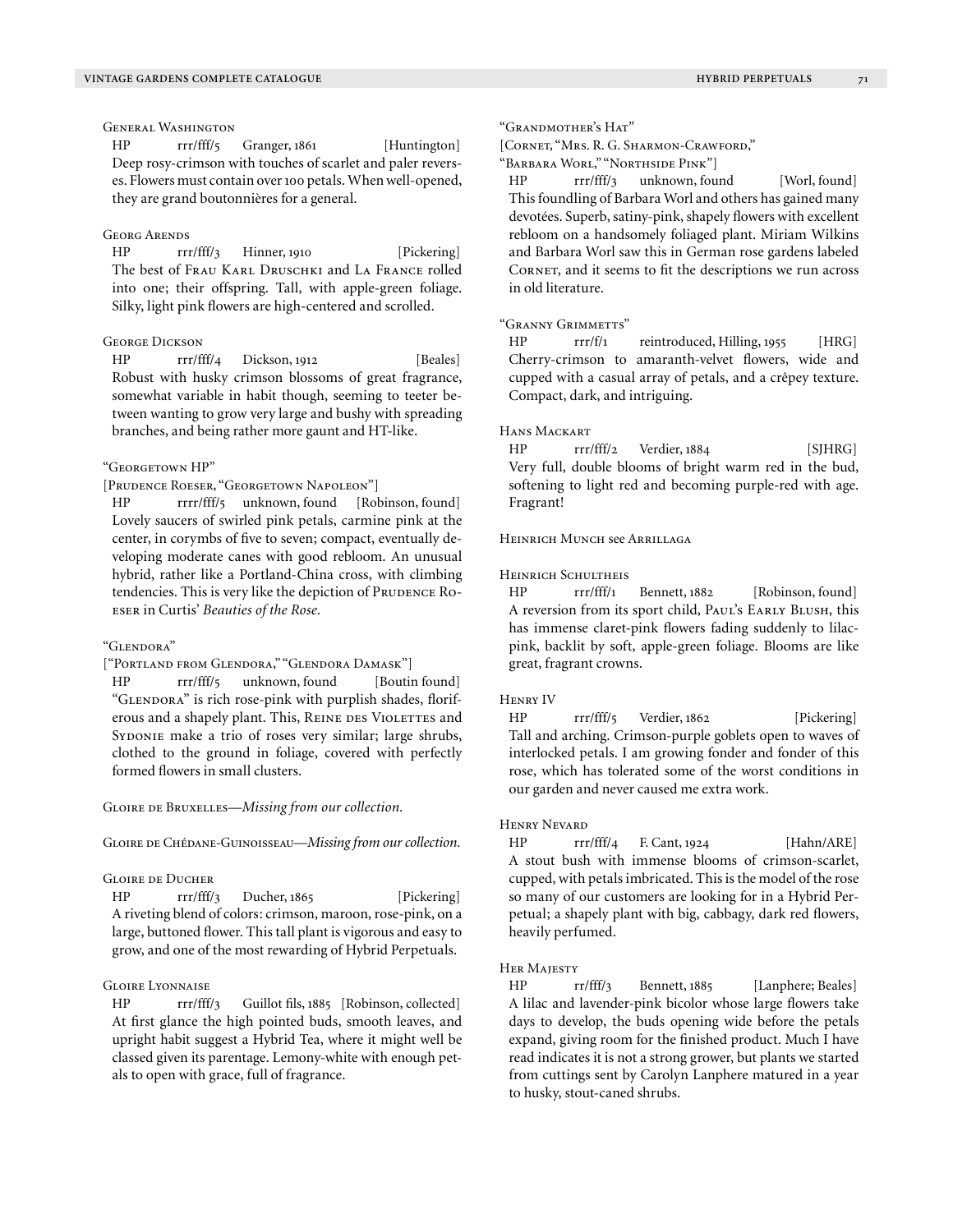# General Washington

HP rrr/fff/5 Granger, 1861 [Huntington] Deep rosy-crimson with touches of scarlet and paler reverses. Flowers must contain over 100 petals. When well-opened, they are grand boutonnières for a general.

#### Georg Arends

HP rrr/fff/3 Hinner, 1910 [Pickering] The best of Frau Karl Druschki and La France rolled into one; their offspring. Tall, with apple-green foliage. Silky, light pink flowers are high-centered and scrolled.

## **GEORGE DICKSON**

HP rrr/fff/4 Dickson, 1912 [Beales] Robust with husky crimson blossoms of great fragrance, somewhat variable in habit though, seeming to teeter between wanting to grow very large and bushy with spreading branches, and being rather more gaunt and HT-like.

#### "Georgetown HP"

[Prudence Roeser, "Georgetown Napoleon"]

HP rrrr/fff/5 unknown, found [Robinson, found] Lovely saucers of swirled pink petals, carmine pink at the center, in corymbs of five to seven; compact, eventually developing moderate canes with good rebloom. An unusual hybrid, rather like a Portland-China cross, with climbing tendencies. This is very like the depiction of PRUDENCE ROeser in Curtis' *Beauties of the Rose.*

#### "Glendora"

["Portland from Glendora," "Glendora Damask"]

HP rrr/fff/5 unknown, found [Boutin found] "GLENDORA" is rich rose-pink with purplish shades, floriferous and a shapely plant. This, REINE DES VIOLETTES and SYDONIE make a trio of roses very similar; large shrubs, clothed to the ground in foliage, covered with perfectly formed flowers in small clusters.

#### GLOIRE DE BRUXELLES—*Missing from our collection*.

GLOIRE DE CHÉDANE-GUINOISSEAU—*Missing from our collection*.

#### Gloire de Ducher

HP rrr/fff/3 Ducher, 1865 [Pickering] A riveting blend of colors: crimson, maroon, rose-pink, on a large, buttoned flower. This tall plant is vigorous and easy to grow, and one of the most rewarding of Hybrid Perpetuals.

#### Gloire Lyonnaise

HP rrr/fff/3 Guillot fils, 1885 [Robinson, collected] At first glance the high pointed buds, smooth leaves, and upright habit suggest a Hybrid Tea, where it might well be classed given its parentage. Lemony-white with enough petals to open with grace, full of fragrance.

#### "Grandmother's Hat"

[Cornet, "Mrs. R. G. Sharmon-Crawford,"

"Barbara Worl," "Northside Pink"]

HP rrr/fff/3 unknown, found [Worl, found] This foundling of Barbara Worl and others has gained many devotées. Superb, satiny-pink, shapely flowers with excellent rebloom on a handsomely foliaged plant. Miriam Wilkins and Barbara Worl saw this in German rose gardens labeled Cornet, and it seems to fit the descriptions we run across in old literature.

#### "Granny Grimmetts"

HP rrr/f/1 reintroduced, Hilling, 1955 [HRG] Cherry-crimson to amaranth-velvet flowers, wide and cupped with a casual array of petals, and a crêpey texture. Compact, dark, and intriguing.

#### Hans Mackart

HP rrr/fff/2 Verdier, 1884 [SJHRG] Very full, double blooms of bright warm red in the bud, softening to light red and becoming purple-red with age. Fragrant!

# Heinrich Munch see Arrillaga

#### Heinrich Schultheis

HP rrr/fff/1 Bennett, 1882 [Robinson, found] A reversion from its sport child, PAUL's EARLY BLUSH, this has immense claret-pink flowers fading suddenly to lilacpink, backlit by soft, apple-green foliage. Blooms are like great, fragrant crowns.

#### Henry IV

HP rrr/fff/5 Verdier, 1862 [Pickering] Tall and arching. Crimson-purple goblets open to waves of interlocked petals. I am growing fonder and fonder of this rose, which has tolerated some of the worst conditions in our garden and never caused me extra work.

#### Henry Nevard

HP rrr/fff/4 F. Cant, 1924 [Hahn/ARE] A stout bush with immense blooms of crimson-scarlet, cupped, with petals imbricated. This is the model of the rose so many of our customers are looking for in a Hybrid Perpetual; a shapely plant with big, cabbagy, dark red flowers, heavily perfumed.

#### Her Majesty

HP rr/fff/3 Bennett, 1885 [Lanphere; Beales] A lilac and lavender-pink bicolor whose large flowers take days to develop, the buds opening wide before the petals expand, giving room for the finished product. Much I have read indicates it is not a strong grower, but plants we started from cuttings sent by Carolyn Lanphere matured in a year to husky, stout-caned shrubs.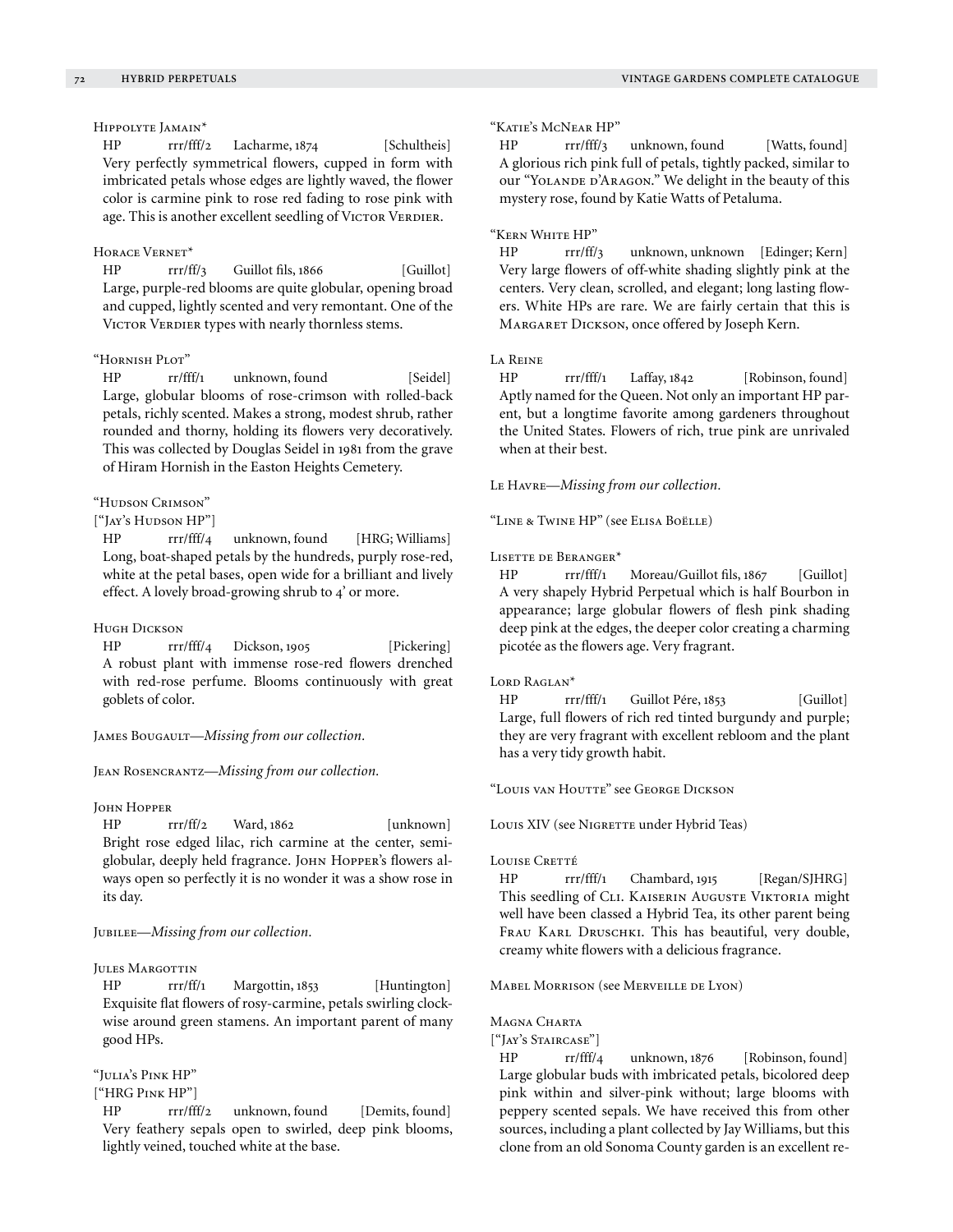Hippolyte Jamain\*

HP rrr/fff/2 Lacharme, 1874 [Schultheis] Very perfectly symmetrical flowers, cupped in form with imbricated petals whose edges are lightly waved, the flower color is carmine pink to rose red fading to rose pink with age. This is another excellent seedling of VICTOR VERDIER.

# Horace Vernet\*

HP rrr/ff/3 Guillot fils, 1866 [Guillot] Large, purple-red blooms are quite globular, opening broad and cupped, lightly scented and very remontant. One of the VICTOR VERDIER types with nearly thornless stems.

# "Hornish Plot"

HP rr/fff/1 unknown, found [Seidel] Large, globular blooms of rose-crimson with rolled-back petals, richly scented. Makes a strong, modest shrub, rather rounded and thorny, holding its flowers very decoratively. This was collected by Douglas Seidel in 1981 from the grave of Hiram Hornish in the Easton Heights Cemetery.

## "Hudson Crimson"

# ["Jay's Hudson HP"]

HP rrr/fff/4 unknown, found [HRG; Williams] Long, boat-shaped petals by the hundreds, purply rose-red, white at the petal bases, open wide for a brilliant and lively effect. A lovely broad-growing shrub to 4' or more.

#### Hugh Dickson

HP rrr/fff/4 Dickson, 1905 [Pickering] A robust plant with immense rose-red flowers drenched with red-rose perfume. Blooms continuously with great goblets of color.

JAMES BOUGAULT-Missing from our collection.

Jean Rosencrantz—*Missing from our collection.*

#### **JOHN HOPPER**

HP rrr/ff/2 Ward, 1862 [unknown] Bright rose edged lilac, rich carmine at the center, semiglobular, deeply held fragrance. Jонм Норрек's flowers always open so perfectly it is no wonder it was a show rose in its day.

# Jubilee—*Missing from our collection.*

## JULES MARGOTTIN

HP rrr/ff/1 Margottin, 1853 [Huntington] Exquisite flat flowers of rosy-carmine, petals swirling clockwise around green stamens. An important parent of many good HPs.

#### "Julia's Pink HP"

# ["HRG Pink HP"]

HP rrr/fff/2 unknown, found [Demits, found] Very feathery sepals open to swirled, deep pink blooms, lightly veined, touched white at the base.

#### "Katie's McNear HP"

HP rrr/fff/3 unknown, found [Watts, found] A glorious rich pink full of petals, tightly packed, similar to our "YOLANDE D'ARAGON." We delight in the beauty of this mystery rose, found by Katie Watts of Petaluma.

# "Kern White HP"

HP rrr/ff/3 unknown, unknown [Edinger; Kern] Very large flowers of off-white shading slightly pink at the centers. Very clean, scrolled, and elegant; long lasting flowers. White HPs are rare. We are fairly certain that this is Margaret Dickson, once offered by Joseph Kern.

#### La Reine

HP rrr/fff/1 Laffay, 1842 [Robinson, found] Aptly named for the Queen. Not only an important HP parent, but a longtime favorite among gardeners throughout the United States. Flowers of rich, true pink are unrivaled when at their best.

Le Havre—*Missing from our collection.*

"Line & Twine HP" (see Elisa Boëlle)

#### Lisette de Beranger\*

HP rrr/fff/1 Moreau/Guillot fils, 1867 [Guillot] A very shapely Hybrid Perpetual which is half Bourbon in appearance; large globular flowers of flesh pink shading deep pink at the edges, the deeper color creating a charming picotée as the flowers age. Very fragrant.

#### LORD RAGLAN<sup>\*</sup>

HP rrr/fff/1 Guillot Pére, 1853 [Guillot] Large, full flowers of rich red tinted burgundy and purple; they are very fragrant with excellent rebloom and the plant has a very tidy growth habit.

"Louis van Houtte" see George Dickson

Louis XIV (see NIGRETTE under Hybrid Teas)

#### LOUISE CRETTÉ

HP rrr/fff/1 Chambard, 1915 [Regan/SJHRG] This seedling of CLI. KAISERIN AUGUSTE VIKTORIA might well have been classed a Hybrid Tea, its other parent being FRAU KARL DRUSCHKI. This has beautiful, very double, creamy white flowers with a delicious fragrance.

Mabel Morrison (see Merveille de Lyon)

## Magna Charta

["Jay's Staircase"]

HP rr/fff/4 unknown, 1876 [Robinson, found] Large globular buds with imbricated petals, bicolored deep pink within and silver-pink without; large blooms with peppery scented sepals. We have received this from other sources, including a plant collected by Jay Williams, but this clone from an old Sonoma County garden is an excellent re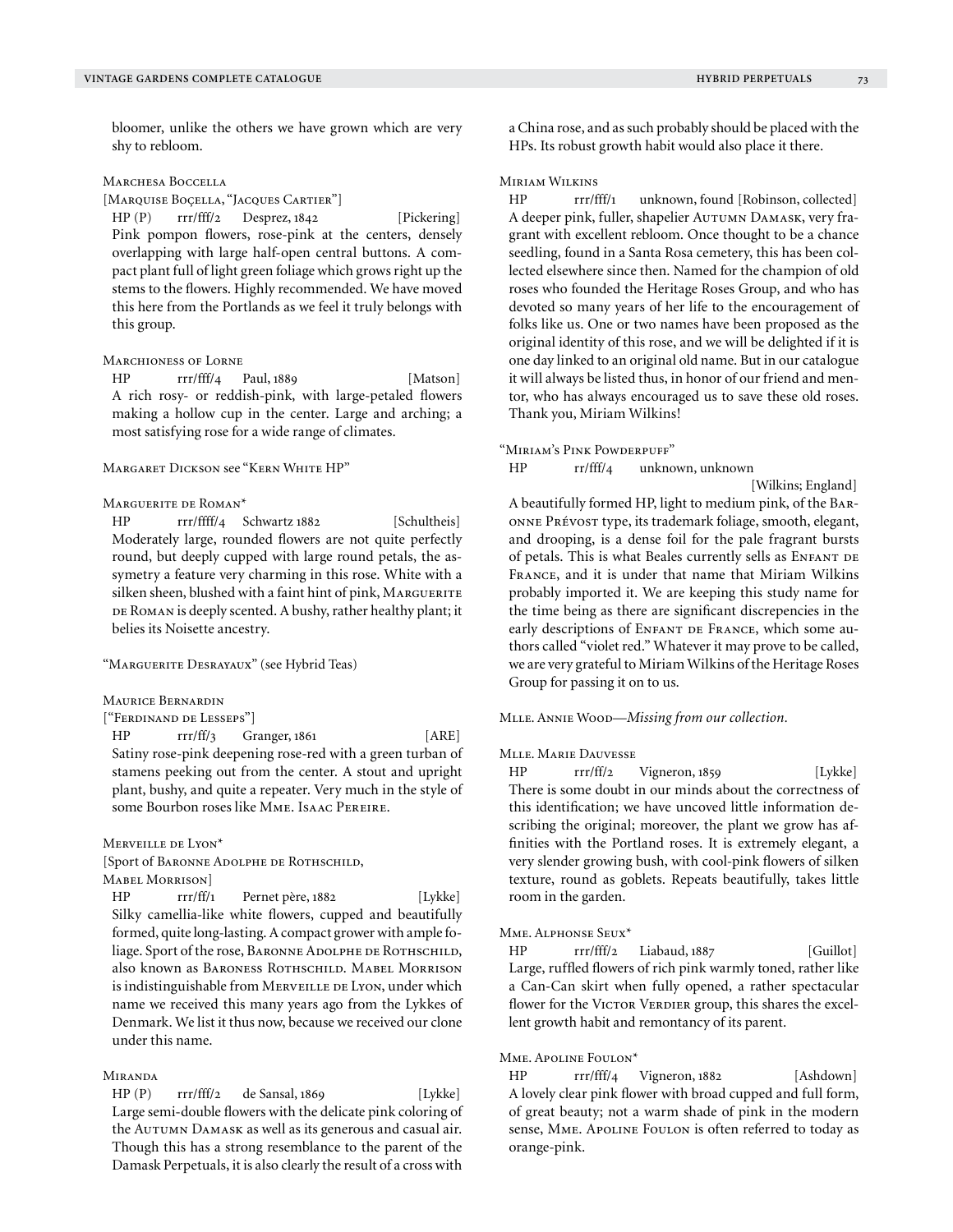bloomer, unlike the others we have grown which are very shy to rebloom.

## Marchesa Boccella

[Marquise Boçella, "Jacques Cartier"]

HP (P) rrr/fff/2 Desprez, 1842 [Pickering] Pink pompon flowers, rose-pink at the centers, densely overlapping with large half-open central buttons. A compact plant full of light green foliage which grows right up the stems to the flowers. Highly recommended. We have moved this here from the Portlands as we feel it truly belongs with this group.

#### Marchioness of Lorne

HP rrr/fff/4 Paul, 1889 [Matson] A rich rosy- or reddish-pink, with large-petaled flowers making a hollow cup in the center. Large and arching; a most satisfying rose for a wide range of climates.

#### Margaret Dickson see "Kern White HP"

#### Marguerite de Roman\*

HP rrr/ffff/4 Schwartz 1882 [Schultheis] Moderately large, rounded flowers are not quite perfectly round, but deeply cupped with large round petals, the assymetry a feature very charming in this rose. White with a silken sheen, blushed with a faint hint of pink, MARGUERITE DE ROMAN is deeply scented. A bushy, rather healthy plant; it belies its Noisette ancestry.

## "Marguerite Desrayaux" (see Hybrid Teas)

Maurice Bernardin

#### ["Ferdinand de Lesseps"]

HP rrr/ff/3 Granger, 1861 [ARE] Satiny rose-pink deepening rose-red with a green turban of stamens peeking out from the center. A stout and upright plant, bushy, and quite a repeater. Very much in the style of some Bourbon roses like Mme. Isaac Pereire.

## Merveille de Lyon\*

[Sport of Baronne Adolphe de Rothschild,

# Mabel Morrison]

HP rrr/ff/1 Pernet père, 1882 [Lykke] Silky camellia-like white flowers, cupped and beautifully formed, quite long-lasting. A compact grower with ample foliage. Sport of the rose, BARONNE ADOLPHE DE ROTHSCHILD, also known as BARONESS ROTHSCHILD. MABEL MORRISON is indistinguishable from MERVEILLE DE LYON, under which name we received this many years ago from the Lykkes of Denmark. We list it thus now, because we received our clone under this name.

# Miranda

HP (P) rrr/fff/2 de Sansal, 1869 [Lykke] Large semi-double flowers with the delicate pink coloring of the AUTUMN DAMASK as well as its generous and casual air. Though this has a strong resemblance to the parent of the Damask Perpetuals, it is also clearly the result of a cross with a China rose, and as such probably should be placed with the HPs. Its robust growth habit would also place it there.

# Miriam Wilkins

HP rrr/fff/1 unknown, found [Robinson, collected] A deeper pink, fuller, shapelier Autumn Damask, very fragrant with excellent rebloom. Once thought to be a chance seedling, found in a Santa Rosa cemetery, this has been collected elsewhere since then. Named for the champion of old roses who founded the Heritage Roses Group, and who has devoted so many years of her life to the encouragement of folks like us. One or two names have been proposed as the original identity of this rose, and we will be delighted if it is one day linked to an original old name. But in our catalogue it will always be listed thus, in honor of our friend and mentor, who has always encouraged us to save these old roses. Thank you, Miriam Wilkins!

#### "Miriam's Pink Powderpuff"

HP rr/fff/4 unknown, unknown

 [Wilkins; England] A beautifully formed HP, light to medium pink, of the Baronne Prévost type, its trademark foliage, smooth, elegant, and drooping, is a dense foil for the pale fragrant bursts of petals. This is what Beales currently sells as ENFANT DE France, and it is under that name that Miriam Wilkins probably imported it. We are keeping this study name for the time being as there are significant discrepencies in the early descriptions of ENFANT DE FRANCE, which some authors called "violet red." Whatever it may prove to be called, we are very grateful to Miriam Wilkins of the Heritage Roses Group for passing it on to us.

Mlle. Annie Wood—*Missing from our collection.*

#### Mlle. Marie Dauvesse

HP rrr/ff/2 Vigneron, 1859 [Lykke] There is some doubt in our minds about the correctness of this identification; we have uncoved little information describing the original; moreover, the plant we grow has affinities with the Portland roses. It is extremely elegant, a very slender growing bush, with cool-pink flowers of silken texture, round as goblets. Repeats beautifully, takes little room in the garden.

#### Mme. Alphonse Seux\*

HP rrr/fff/2 Liabaud, 1887 [Guillot] Large, ruffled flowers of rich pink warmly toned, rather like a Can-Can skirt when fully opened, a rather spectacular flower for the VICTOR VERDIER group, this shares the excellent growth habit and remontancy of its parent.

## Mme. Apoline Foulon\*

HP rrr/fff/4 Vigneron, 1882 [Ashdown] A lovely clear pink flower with broad cupped and full form, of great beauty; not a warm shade of pink in the modern sense, MME. APOLINE FOULON is often referred to today as orange-pink.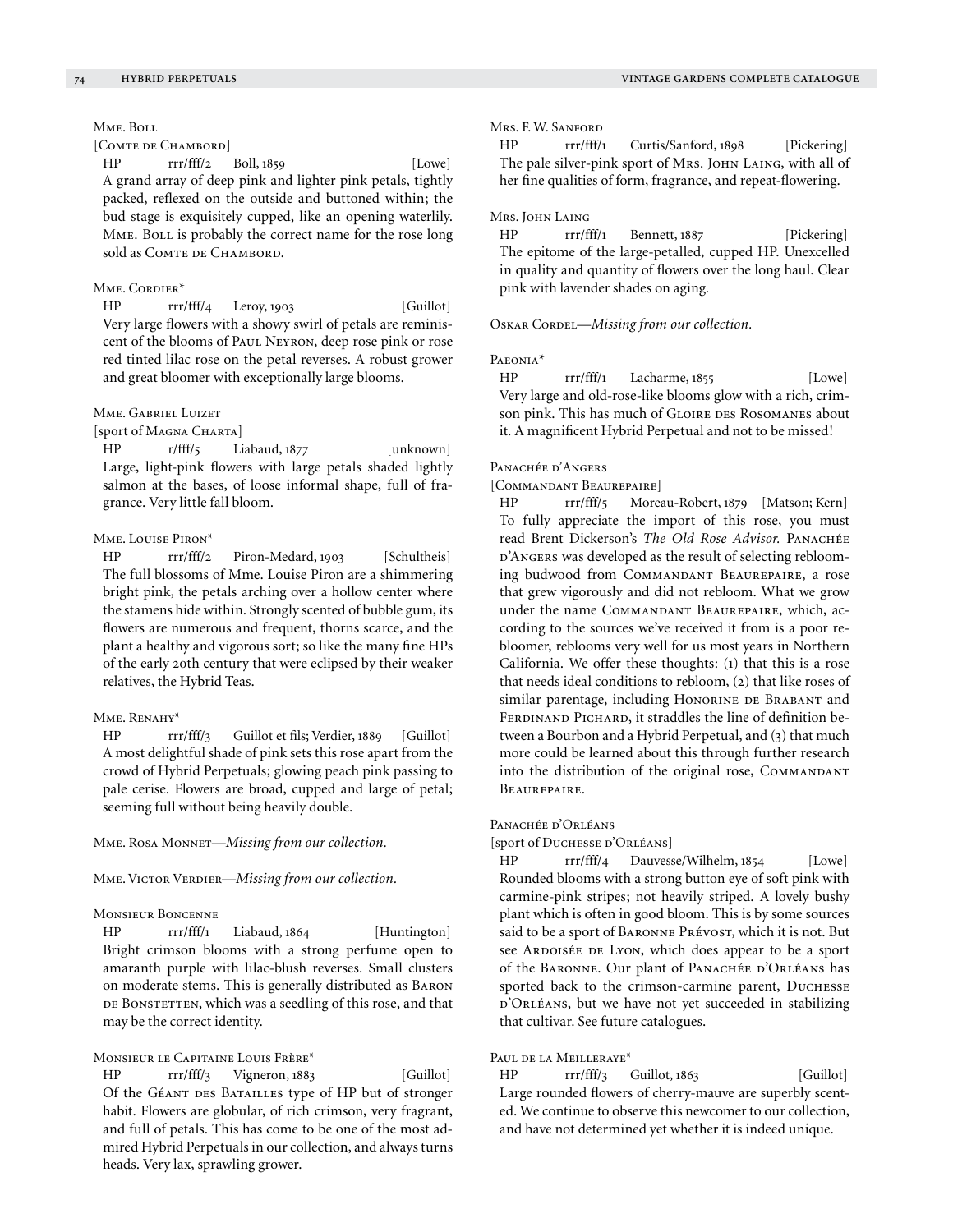# Mme. Boll

[COMTE DE CHAMBORD]

HP rrr/fff/2 Boll, 1859 [Lowe] A grand array of deep pink and lighter pink petals, tightly packed, reflexed on the outside and buttoned within; the bud stage is exquisitely cupped, like an opening waterlily. MME. BOLL is probably the correct name for the rose long sold as COMTE DE CHAMBORD.

# MME. CORDIER\*

HP rrr/fff/4 Leroy, 1903 [Guillot] Very large flowers with a showy swirl of petals are reminiscent of the blooms of Paul Neyron, deep rose pink or rose red tinted lilac rose on the petal reverses. A robust grower and great bloomer with exceptionally large blooms.

## Mme. Gabriel Luizet

[sport of Magna Charta]

HP r/fff/5 Liabaud, 1877 [unknown] Large, light-pink flowers with large petals shaded lightly salmon at the bases, of loose informal shape, full of fragrance. Very little fall bloom.

# Mme. Louise Piron\*

HP rrr/fff/2 Piron-Medard, 1903 [Schultheis] The full blossoms of Mme. Louise Piron are a shimmering bright pink, the petals arching over a hollow center where the stamens hide within. Strongly scented of bubble gum, its flowers are numerous and frequent, thorns scarce, and the plant a healthy and vigorous sort; so like the many fine HPs of the early 20th century that were eclipsed by their weaker relatives, the Hybrid Teas.

## Mme. Renahy\*

HP rrr/fff/3 Guillot et fils; Verdier, 1889 [Guillot] A most delightful shade of pink sets this rose apart from the crowd of Hybrid Perpetuals; glowing peach pink passing to pale cerise. Flowers are broad, cupped and large of petal; seeming full without being heavily double.

Mme. Rosa Monnet—*Missing from our collection.*

MME. VICTOR VERDIER—*Missing from our collection*.

#### Monsieur Boncenne

HP rrr/fff/1 Liabaud, 1864 [Huntington] Bright crimson blooms with a strong perfume open to amaranth purple with lilac-blush reverses. Small clusters on moderate stems. This is generally distributed as Baron DE BONSTETTEN, which was a seedling of this rose, and that may be the correct identity.

# Monsieur le Capitaine Louis Frère\*

HP rrr/fff/3 Vigneron, 1883 [Guillot] Of the GÉANT DES BATAILLES type of HP but of stronger habit. Flowers are globular, of rich crimson, very fragrant, and full of petals. This has come to be one of the most admired Hybrid Perpetuals in our collection, and always turns heads. Very lax, sprawling grower.

## Mrs. F. W. Sanford

HP rrr/fff/1 Curtis/Sanford, 1898 [Pickering] The pale silver-pink sport of Mrs. JOHN LAING, with all of her fine qualities of form, fragrance, and repeat-flowering.

#### Mrs. John Laing

HP rrr/fff/1 Bennett, 1887 [Pickering] The epitome of the large-petalled, cupped HP. Unexcelled in quality and quantity of flowers over the long haul. Clear pink with lavender shades on aging.

OSKAR CORDEL—*Missing from our collection*.

#### Paeonia\*

HP rrr/fff/1 Lacharme, 1855 [Lowe] Very large and old-rose-like blooms glow with a rich, crimson pink. This has much of GLOIRE DES ROSOMANES about it. A magnificent Hybrid Perpetual and not to be missed!

#### PANACHÉE D'ANGERS

[COMMANDANT BEAUREPAIRE]

HP rrr/fff/5 Moreau-Robert, 1879 [Matson; Kern] To fully appreciate the import of this rose, you must read Brent Dickerson's *The Old Rose Advisor.* Panachée d'Angers was developed as the result of selecting reblooming budwood from Commandant Beaurepaire, a rose that grew vigorously and did not rebloom. What we grow under the name Commandant Beaurepaire, which, according to the sources we've received it from is a poor rebloomer, reblooms very well for us most years in Northern California. We offer these thoughts: (1) that this is a rose that needs ideal conditions to rebloom, (2) that like roses of similar parentage, including HONORINE DE BRABANT and FERDINAND PICHARD, it straddles the line of definition between a Bourbon and a Hybrid Perpetual, and (3) that much more could be learned about this through further research into the distribution of the original rose, COMMANDANT Beaurepaire.

#### PANACHÉE D'ORLÉANS

[sport of Duchesse d'Orléans]

HP rrr/fff/4 Dauvesse/Wilhelm, 1854 [Lowe] Rounded blooms with a strong button eye of soft pink with carmine-pink stripes; not heavily striped. A lovely bushy plant which is often in good bloom. This is by some sources said to be a sport of BARONNE PRÉVOST, which it is not. But see ARDOISÉE DE LYON, which does appear to be a sport of the BARONNE. Our plant of PANACHÉE D'ORLÉANS has sported back to the crimson-carmine parent, DUCHESSE d'Orléans, but we have not yet succeeded in stabilizing that cultivar. See future catalogues.

# Paul de la Meilleraye\*

HP rrr/fff/3 Guillot, 1863 [Guillot] Large rounded flowers of cherry-mauve are superbly scented. We continue to observe this newcomer to our collection, and have not determined yet whether it is indeed unique.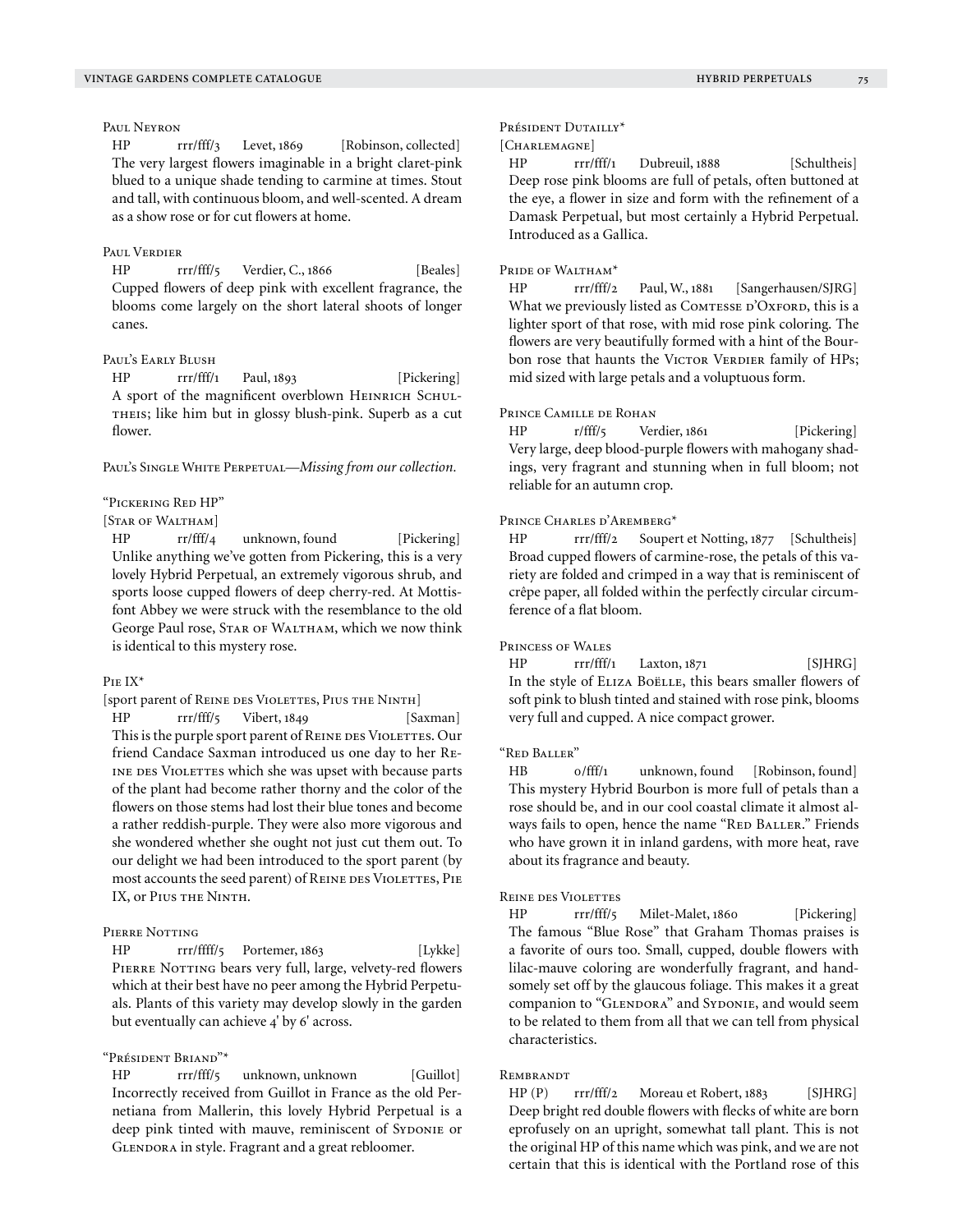Paul Neyron

HP rrr/fff/3 Levet, 1869 [Robinson, collected] The very largest flowers imaginable in a bright claret-pink blued to a unique shade tending to carmine at times. Stout and tall, with continuous bloom, and well-scented. A dream as a show rose or for cut flowers at home.

# Paul Verdier

HP rrr/fff/5 Verdier, C., 1866 [Beales] Cupped flowers of deep pink with excellent fragrance, the blooms come largely on the short lateral shoots of longer canes.

#### Paul's Early Blush

HP rrr/fff/1 Paul, 1893 [Pickering] A sport of the magnificent overblown HEINRICH SCHULtheis; like him but in glossy blush-pink. Superb as a cut flower.

PAUL'S SINGLE WHITE PERPETUAL—*Missing from our collection*.

## "Pickering Red HP"

## [STAR OF WALTHAM]

HP rr/fff/4 unknown, found [Pickering] Unlike anything we've gotten from Pickering, this is a very lovely Hybrid Perpetual, an extremely vigorous shrub, and sports loose cupped flowers of deep cherry-red. At Mottisfont Abbey we were struck with the resemblance to the old George Paul rose, STAR OF WALTHAM, which we now think is identical to this mystery rose.

#### Pie IX\*

[sport parent of REINE DES VIOLETTES, PIUS THE NINTH]

HP rrr/fff/5 Vibert, 1849 [Saxman] This is the purple sport parent of REINE DES VIOLETTES. Our friend Candace Saxman introduced us one day to her Re-INE DES VIOLETTES which she was upset with because parts of the plant had become rather thorny and the color of the flowers on those stems had lost their blue tones and become a rather reddish-purple. They were also more vigorous and she wondered whether she ought not just cut them out. To our delight we had been introduced to the sport parent (by most accounts the seed parent) of REINE DES VIOLETTES, PIE IX, or Pius the Ninth.

# Pierre Notting

HP rrr/ffff/5 Portemer, 1863 [Lykke] PIERRE NOTTING bears very full, large, velvety-red flowers which at their best have no peer among the Hybrid Perpetuals. Plants of this variety may develop slowly in the garden but eventually can achieve 4' by 6' across.

## "Président Briand"\*

HP rrr/fff/5 unknown, unknown [Guillot] Incorrectly received from Guillot in France as the old Pernetiana from Mallerin, this lovely Hybrid Perpetual is a deep pink tinted with mauve, reminiscent of Syponie or GLENDORA in style. Fragrant and a great rebloomer.

#### Président Dutailly\*

# [CHARLEMAGNE]

HP rrr/fff/1 Dubreuil, 1888 [Schultheis] Deep rose pink blooms are full of petals, often buttoned at the eye, a flower in size and form with the refinement of a Damask Perpetual, but most certainly a Hybrid Perpetual. Introduced as a Gallica.

#### PRIDE OF WALTHAM<sup>\*</sup>

HP rrr/fff/2 Paul, W., 1881 [Sangerhausen/SJRG] What we previously listed as COMTESSE D'OXFORD, this is a lighter sport of that rose, with mid rose pink coloring. The flowers are very beautifully formed with a hint of the Bourbon rose that haunts the VICTOR VERDIER family of HPs; mid sized with large petals and a voluptuous form.

## PRINCE CAMILLE DE ROHAN

HP r/fff/5 Verdier, 1861 [Pickering] Very large, deep blood-purple flowers with mahogany shadings, very fragrant and stunning when in full bloom; not reliable for an autumn crop.

#### Prince Charles d'Aremberg\*

HP rrr/fff/2 Soupert et Notting, 1877 [Schultheis] Broad cupped flowers of carmine-rose, the petals of this variety are folded and crimped in a way that is reminiscent of crêpe paper, all folded within the perfectly circular circumference of a flat bloom.

#### Princess of Wales

HP rrr/fff/1 Laxton, 1871 [SJHRG] In the style of ELIZA BOËLLE, this bears smaller flowers of soft pink to blush tinted and stained with rose pink, blooms very full and cupped. A nice compact grower.

## "Red Baller"

HB o/fff/1 unknown, found [Robinson, found] This mystery Hybrid Bourbon is more full of petals than a rose should be, and in our cool coastal climate it almost always fails to open, hence the name "RED BALLER." Friends who have grown it in inland gardens, with more heat, rave about its fragrance and beauty.

#### Reine des Violettes

HP rrr/fff/5 Milet-Malet, 1860 [Pickering] The famous "Blue Rose" that Graham Thomas praises is a favorite of ours too. Small, cupped, double flowers with lilac-mauve coloring are wonderfully fragrant, and handsomely set off by the glaucous foliage. This makes it a great companion to "GLENDORA" and SYDONIE, and would seem to be related to them from all that we can tell from physical characteristics.

# **REMBRANDT**

HP (P) rrr/fff/2 Moreau et Robert, 1883 [SIHRG] Deep bright red double flowers with flecks of white are born eprofusely on an upright, somewhat tall plant. This is not the original HP of this name which was pink, and we are not certain that this is identical with the Portland rose of this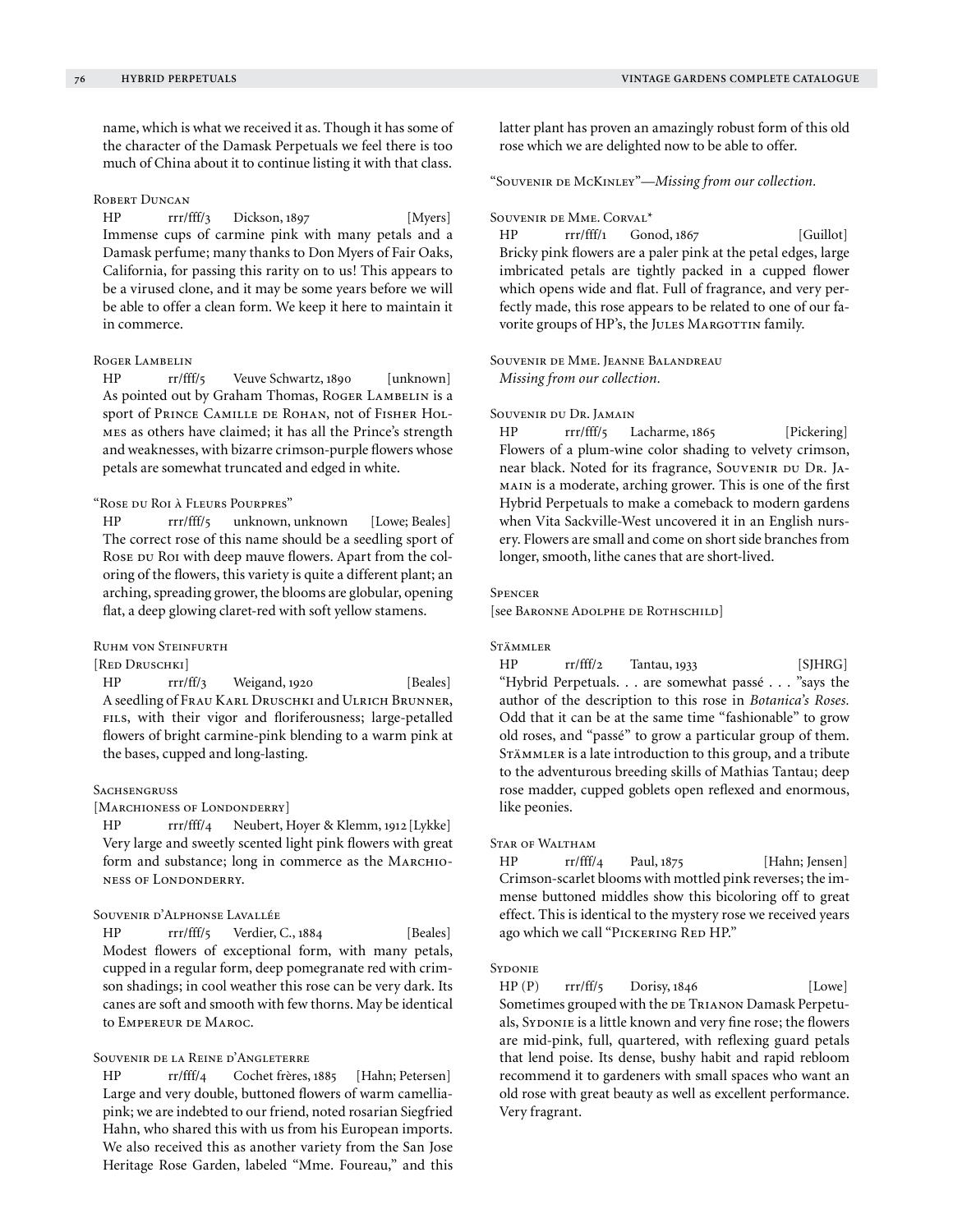name, which is what we received it as. Though it has some of the character of the Damask Perpetuals we feel there is too much of China about it to continue listing it with that class.

## ROBERT DUNCAN

HP rrr/fff/3 Dickson, 1897 [Myers] Immense cups of carmine pink with many petals and a Damask perfume; many thanks to Don Myers of Fair Oaks, California, for passing this rarity on to us! This appears to be a virused clone, and it may be some years before we will be able to offer a clean form. We keep it here to maintain it in commerce.

## Roger Lambelin

HP rr/fff/5 Veuve Schwartz, 1890 [unknown] As pointed out by Graham Thomas, Roger LAMBELIN is a sport of Prince Camille de Rohan, not of Fisher Holmes as others have claimed; it has all the Prince's strength and weaknesses, with bizarre crimson-purple flowers whose petals are somewhat truncated and edged in white.

## "Rose du Roi à Fleurs Pourpres"

HP rrr/fff/5 unknown, unknown [Lowe; Beales] The correct rose of this name should be a seedling sport of Rose  $D$ u Roi with deep mauve flowers. Apart from the coloring of the flowers, this variety is quite a different plant; an arching, spreading grower, the blooms are globular, opening flat, a deep glowing claret-red with soft yellow stamens.

# Ruhm von Steinfurth

# [Red Druschki]

HP rrr/ff/3 Weigand, 1920 [Beales] A seedling of Frau Karl Druschki and Ulrich Brunner, fils, with their vigor and floriferousness; large-petalled flowers of bright carmine-pink blending to a warm pink at the bases, cupped and long-lasting.

## **SACHSENGRUSS**

## [MARCHIONESS OF LONDONDERRY]

HP rrr/fff/4 Neubert, Hoyer & Klemm, 1912 [Lykke] Very large and sweetly scented light pink flowers with great form and substance; long in commerce as the MARCHIOness of Londonderry.

## Souvenir d'Alphonse Lavallée

HP rrr/fff/5 Verdier, C., 1884 [Beales] Modest flowers of exceptional form, with many petals, cupped in a regular form, deep pomegranate red with crimson shadings; in cool weather this rose can be very dark. Its canes are soft and smooth with few thorns. May be identical to Empereur de Maroc.

# Souvenir de la Reine d'Angleterre

HP rr/fff/4 Cochet frères, 1885 [Hahn; Petersen] Large and very double, buttoned flowers of warm camelliapink; we are indebted to our friend, noted rosarian Siegfried Hahn, who shared this with us from his European imports. We also received this as another variety from the San Jose Heritage Rose Garden, labeled "Mme. Foureau," and this latter plant has proven an amazingly robust form of this old rose which we are delighted now to be able to offer.

# "Souvenir de McKinley"—*Missing from our collection.*

#### Souvenir de Mme. Corval\*

HP rrr/fff/1 Gonod, 1867 [Guillot] Bricky pink flowers are a paler pink at the petal edges, large imbricated petals are tightly packed in a cupped flower which opens wide and flat. Full of fragrance, and very perfectly made, this rose appears to be related to one of our favorite groups of HP's, the JULES MARGOTTIN family.

## Souvenir de Mme. Jeanne Balandreau *Missing from our collection.*

#### Souvenir du Dr. Jamain

HP rrr/fff/5 Lacharme, 1865 [Pickering] Flowers of a plum-wine color shading to velvety crimson, near black. Noted for its fragrance, Souvenir du Dr. JAmain is a moderate, arching grower. This is one of the first Hybrid Perpetuals to make a comeback to modern gardens when Vita Sackville-West uncovered it in an English nursery. Flowers are small and come on short side branches from longer, smooth, lithe canes that are short-lived.

#### **SPENCER**

[see Baronne Adolphe de Rothschild]

#### Stämmler

HP rr/fff/2 Tantau, 1933 [SJHRG] "Hybrid Perpetuals. . . are somewhat passé . . . "says the author of the description to this rose in *Botanica's Roses.*  Odd that it can be at the same time "fashionable" to grow old roses, and "passé" to grow a particular group of them. STÄMMLER is a late introduction to this group, and a tribute to the adventurous breeding skills of Mathias Tantau; deep rose madder, cupped goblets open reflexed and enormous, like peonies.

# Star of Waltham

HP rr/fff/4 Paul, 1875 [Hahn; Jensen] Crimson-scarlet blooms with mottled pink reverses; the immense buttoned middles show this bicoloring off to great effect. This is identical to the mystery rose we received years ago which we call "PICKERING RED HP."

#### **SYDONIE**

 $HP(P)$  rrr/ff/5 Dorisy, 1846 [Lowe] Sometimes grouped with the DE TRIANON Damask Perpetuals, SYDONIE is a little known and very fine rose; the flowers are mid-pink, full, quartered, with reflexing guard petals that lend poise. Its dense, bushy habit and rapid rebloom recommend it to gardeners with small spaces who want an old rose with great beauty as well as excellent performance. Very fragrant.